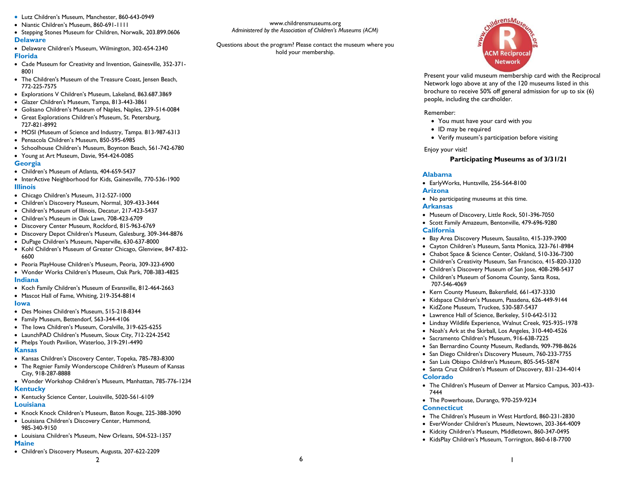- Lutz Children's Museum, Manchester, 860-643-0949
- Niantic Children's Museum, 860-691-1111
- Stepping Stones Museum for Children, Norwalk, 203.899.0606 **Delaware**
- Delaware Children's Museum, Wilmington, 302-654-2340 **Florida**
- Cade Museum for Creativity and Invention, Gainesville, 352-371- 8001
- The Children's Museum of the Treasure Coast, Jensen Beach, 772-225-7575
- Explorations V Children's Museum, Lakeland, 863.687.3869
- Glazer Children's Museum, Tampa, 813-443-3861
- Golisano Children's Museum of Naples, Naples, 239-514-0084
- Great Explorations Children's Museum, St. Petersburg, 727-821-8992
- MOSI (Museum of Science and Industry, Tampa. 813-987-6313
- Pensacola Children's Museum, 850-595-6985
- Schoolhouse Children's Museum, Boynton Beach, 561-742-6780
- Young at Art Museum, Davie, 954-424-0085

#### **Georgia**

- Children's Museum of Atlanta, 404-659-5437
- InterActive Neighborhood for Kids, Gainesville, 770-536-1900 **Illinois**
- Chicago Children's Museum, 312-527-1000
- Children's Discovery Museum, Normal, 309-433-3444
- Children's Museum of Illinois, Decatur, 217-423-5437
- Children's Museum in Oak Lawn, 708-423-6709
- Discovery Center Museum, Rockford, 815-963-6769
- Discovery Depot Children's Museum, Galesburg, 309-344-8876
- DuPage Children's Museum, Naperville, 630-637-8000
- Kohl Children's Museum of Greater Chicago, Glenview, 847-832-6600
- Peoria PlayHouse Children's Museum, Peoria, 309-323-6900
- Wonder Works Children's Museum, Oak Park, 708-383-4825 **Indiana**
- Koch Family Children's Museum of Evansville, 812-464-2663
- Mascot Hall of Fame, Whiting, 219-354-8814

#### **Iowa**

- Des Moines Children's Museum, 515-218-8344
- Family Museum, Bettendorf, 563-344-4106
- The Iowa Children's Museum, Coralville, 319-625-6255
- LaunchPAD Children's Museum, Sioux City, 712-224-2542
- Phelps Youth Pavilion, Waterloo, 319-291-4490

#### **Kansas**

- Kansas Children's Discovery Center, Topeka, 785-783-8300
- The Regnier Family Wonderscope Children's Museum of Kansas City, 918-287-8888
- Wonder Workshop Children's Museum, Manhattan, 785-776-1234 **Kentucky**
- Kentucky Science Center, Louisville, 5020-561-6109

# **Louisiana**

Knock Knock Children's Museum, Baton Rouge, 225-388-3090

2

- Louisiana Children's Discovery Center, Hammond, 985-340-9150
- Louisiana Children's Museum, New Orleans, 504-523-1357

# **Maine**

Children's Discovery Museum, Augusta, 207-622-2209

Questions about the program? Please contact the museum where you hold your membership.



Present your valid museum membership card with the Reciprocal Network logo above at any of the 120 museums listed in this brochure to receive 50% off general admission for up to six (6) people, including the cardholder.

#### Remember:

- You must have your card with you
- ID may be required
- Verify museum's participation before visiting

#### Enjoy your visit!

### **Participating Museums as of 3/31/21**

### **Alabama**

- EarlyWorks, Huntsville, 256-564-8100 **Arizona**
- No participating museums at this time.

#### **Arkansas**

- Museum of Discovery, Little Rock, 501-396-7050
- Scott Family Amazeum, Bentonville, 479-696-9280 **California**
- Bay Area Discovery Museum, Sausalito, 415-339-3900
- Cayton Children's Museum, Santa Monica, 323-761-8984
- Chabot Space & Science Center, Oakland, 510-336-7300
- Children's Creativity Museum, San Francisco, 415-820-3320
- Children's Discovery Museum of San Jose, 408-298-5437
- Children's Museum of Sonoma County, Santa Rosa, 707-546-4069
- Kern County Museum, Bakersfield, 661-437-3330
- Kidspace Children's Museum, Pasadena, 626-449-9144
- KidZone Museum, Truckee, 530-587-5437
- Lawrence Hall of Science, Berkeley, 510-642-5132
- Lindsay Wildlife Experience, Walnut Creek, 925-935-1978
- Noah's Ark at the Skirball, Los Angeles, 310-440-4526
- Sacramento Children's Museum, 916-638-7225
- San Bernardino County Museum, Redlands, 909-798-8626
- San Diego Children's Discovery Museum, 760-233-7755
- San Luis Obispo Children's Museum, 805-545-5874
- Santa Cruz Children's Museum of Discovery, 831-234-4014 **Colorado**
- The Children's Museum of Denver at Marsico Campus, 303-433- 7444
- The Powerhouse, Durango, 970-259-9234 **Connecticut**
- The Children's Museum in West Hartford, 860-231-2830
- EverWonder Children's Museum, Newtown, 203-364-4009
- Kidcity Children's Museum, Middletown, 860-347-0495
- KidsPlay Children's Museum, Torrington, 860-618-7700